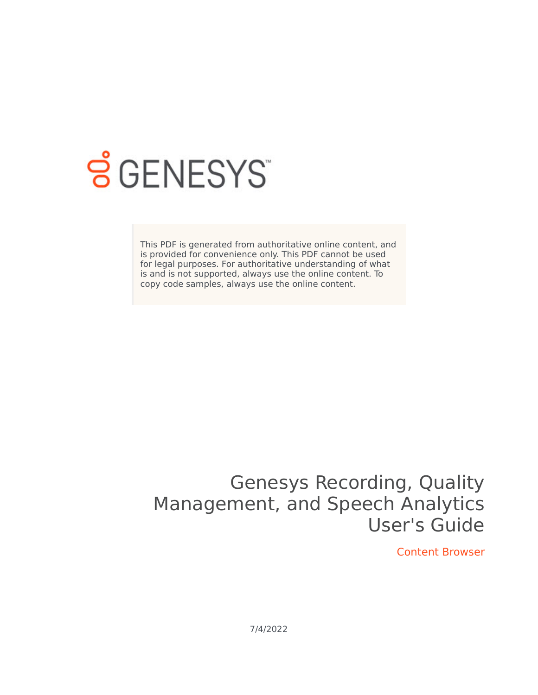

## **SGENESYS**

This PDF is generated from authoritative online content, and is provided for convenience only. This PDF cannot be used for legal purposes. For authoritative understanding of what is and is not supported, always use the online content. To copy code samples, always use the online content.

## Genesys Recording, Quality Management, and Speech Analytics User's Guide

Content Browser

7/4/2022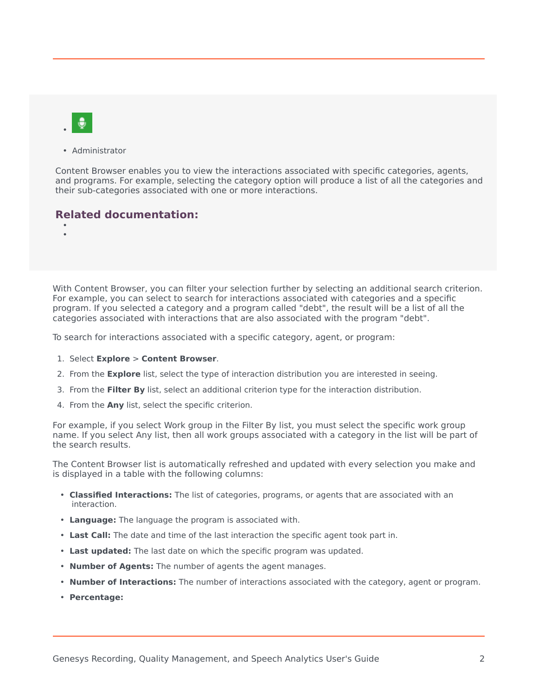

• Administrator

Content Browser enables you to view the interactions associated with specific categories, agents, and programs. For example, selecting the category option will produce a list of all the categories and their sub-categories associated with one or more interactions.

## **Related documentation:**

• •

With Content Browser, you can filter your selection further by selecting an additional search criterion. For example, you can select to search for interactions associated with categories and a specific program. If you selected a category and a program called "debt", the result will be a list of all the categories associated with interactions that are also associated with the program "debt".

To search for interactions associated with a specific category, agent, or program:

- 1. Select **Explore** > **Content Browser**.
- 2. From the **Explore** list, select the type of interaction distribution you are interested in seeing.
- 3. From the **Filter By** list, select an additional criterion type for the interaction distribution.
- 4. From the **Any** list, select the specific criterion.

For example, if you select Work group in the Filter By list, you must select the specific work group name. If you select Any list, then all work groups associated with a category in the list will be part of the search results.

The Content Browser list is automatically refreshed and updated with every selection you make and is displayed in a table with the following columns:

- **Classified Interactions:** The list of categories, programs, or agents that are associated with an interaction.
- **Language:** The language the program is associated with.
- **Last Call:** The date and time of the last interaction the specific agent took part in.
- **Last updated:** The last date on which the specific program was updated.
- **Number of Agents:** The number of agents the agent manages.
- **Number of Interactions:** The number of interactions associated with the category, agent or program.
- **Percentage:**